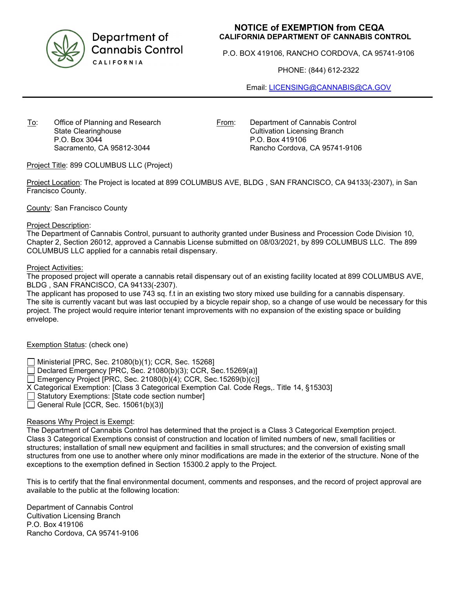

Department of **Cannabis Control** CALIFORNIA

# **NOTICE of EXEMPTION from CEQA CALIFORNIA DEPARTMENT OF CANNABIS CONTROL**

P.O. BOX 419106, RANCHO CORDOVA, CA 95741-9106

PHONE: (844) 612-2322

Email: [LICENSING@CANNABIS@CA.GOV](mailto:LICENSING@CANNABIS@CA.GOV)

To: Office of Planning and Research State Clearinghouse P.O. Box 3044 Sacramento, CA 95812-3044

From: Department of Cannabis Control Cultivation Licensing Branch P.O. Box 419106 Rancho Cordova, CA 95741-9106

Project Title: 899 COLUMBUS LLC (Project)

Project Location: The Project is located at 899 COLUMBUS AVE, BLDG , SAN FRANCISCO, CA 94133(-2307), in San Francisco County.

County: San Francisco County

### Project Description:

The Department of Cannabis Control, pursuant to authority granted under Business and Procession Code Division 10, Chapter 2, Section 26012, approved a Cannabis License submitted on 08/03/2021, by 899 COLUMBUS LLC. The 899 COLUMBUS LLC applied for a cannabis retail dispensary.

**Project Activities:** 

The proposed project will operate a cannabis retail dispensary out of an existing facility located at 899 COLUMBUS AVE, BLDG , SAN FRANCISCO, CA 94133(-2307).

The applicant has proposed to use 743 sq. f.t in an existing two story mixed use building for a cannabis dispensary. The site is currently vacant but was last occupied by a bicycle repair shop, so a change of use would be necessary for this project. The project would require interior tenant improvements with no expansion of the existing space or building envelope.

# Exemption Status: (check one)

Ministerial [PRC, Sec. 21080(b)(1); CCR, Sec. 15268]

Declared Emergency [PRC, Sec. 21080(b)(3); CCR, Sec.15269(a)]

Emergency Project [PRC, Sec. 21080(b)(4); CCR, Sec. 15269(b)(c)]

X Categorical Exemption: [Class 3 Categorical Exemption Cal. Code Regs,. Title 14, §15303]

Statutory Exemptions: [State code section number]

General Rule [CCR, Sec. 15061(b)(3)]

## Reasons Why Project is Exempt:

The Department of Cannabis Control has determined that the project is a Class 3 Categorical Exemption project. Class 3 Categorical Exemptions consist of construction and location of limited numbers of new, small facilities or structures; installation of small new equipment and facilities in small structures; and the conversion of existing small structures from one use to another where only minor modifications are made in the exterior of the structure. None of the exceptions to the exemption defined in Section 15300.2 apply to the Project.

This is to certify that the final environmental document, comments and responses, and the record of project approval are available to the public at the following location:

Department of Cannabis Control Cultivation Licensing Branch P.O. Box 419106 Rancho Cordova, CA 95741-9106